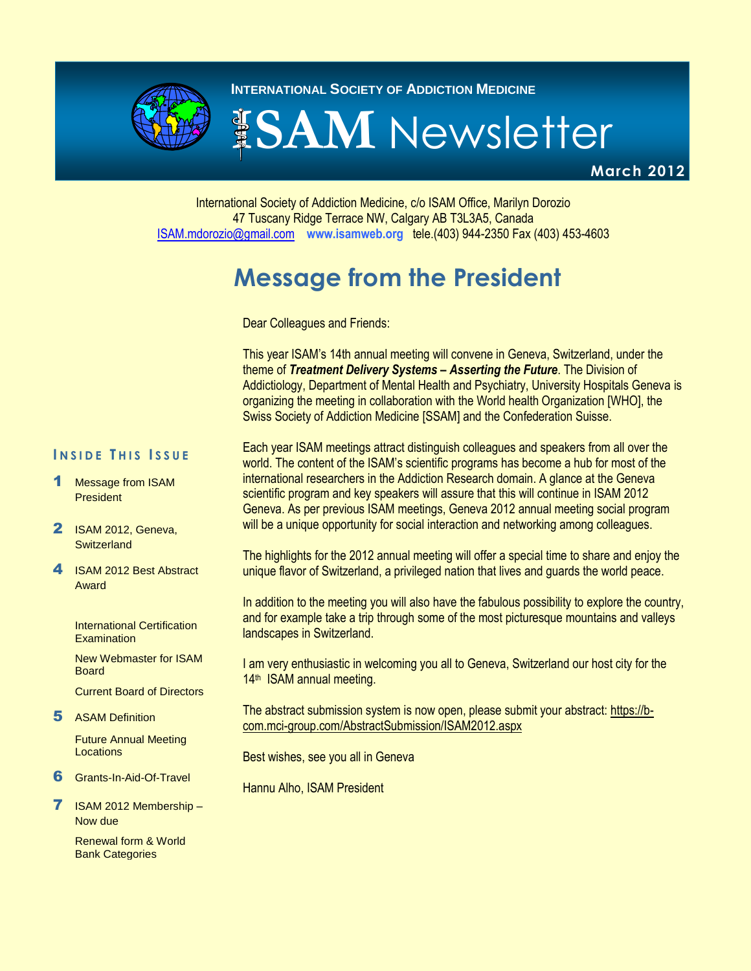

**INTERNATIONAL SOCIETY OF ADDICTION MEDICINE** 

# **ISAM** Newsletter

**March 2012** 

#### International Society of Addiction Medicine, c/o ISAM Office, Marilyn Dorozio 47 Tuscany Ridge Terrace NW, Calgary AB T3L3A5, Canada [ISAM.mdorozio@gmail.com](mailto:office@isamweb.com/mdorozio@shaw.ca) **www.isamweb.org** tele.(403) 944-2350 Fax (403) 453-4603

# **Message from the President**

Dear Colleagues and Friends:

This year ISAM's 14th annual meeting will convene in Geneva, Switzerland, under the theme of *Treatment Delivery Systems – Asserting the Future*. The Division of Addictiology, Department of Mental Health and Psychiatry, University Hospitals Geneva is organizing the meeting in collaboration with the World health Organization [WHO], the Swiss Society of Addiction Medicine [SSAM] and the Confederation Suisse.

#### **I N S I D E T H I S I S S U E**

- Message from ISAM **President**
- 2 ISAM 2012, Geneva, **Switzerland**
- 4 **ISAM 2012 Best Abstract** Award

International Certification **Examination** 

New Webmaster for ISAM **Board** 

Current Board of Directors

5 ASAM Definition

Future Annual Meeting Locations

6 Grants-In-Aid-Of-Travel

7 ISAM 2012 Membership – Now due

> Renewal form & World Bank Categories

Each year ISAM meetings attract distinguish colleagues and speakers from all over the world. The content of the ISAM's scientific programs has become a hub for most of the international researchers in the Addiction Research domain. A glance at the Geneva scientific program and key speakers will assure that this will continue in ISAM 2012 Geneva. As per previous ISAM meetings, Geneva 2012 annual meeting social program will be a unique opportunity for social interaction and networking among colleagues.

The highlights for the 2012 annual meeting will offer a special time to share and enjoy the unique flavor of Switzerland, a privileged nation that lives and guards the world peace.

In addition to the meeting you will also have the fabulous possibility to explore the country, and for example take a trip through some of the most picturesque mountains and valleys landscapes in Switzerland.

I am very enthusiastic in welcoming you all to Geneva, Switzerland our host city for the 14<sup>th</sup> ISAM annual meeting.

The abstract submission system is now open, please submit your abstract: [https://b](https://b-com.mci-group.com/AbstractSubmission/ISAM2012.aspx)[com.mci-group.com/AbstractSubmission/ISAM2012.aspx](https://b-com.mci-group.com/AbstractSubmission/ISAM2012.aspx)

Best wishes, see you all in Geneva

Hannu Alho, ISAM President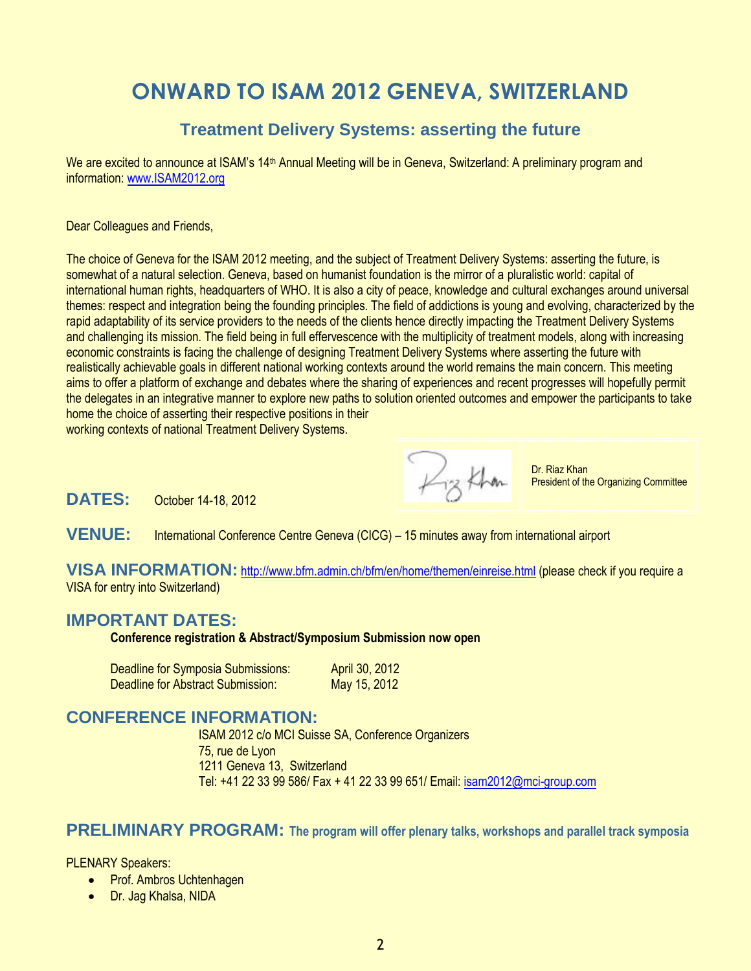# **ONWARD TO ISAM 2012 GENEVA, SWITZERLAND**

### **Treatment Delivery Systems: asserting the future**

We are excited to announce at ISAM's 14<sup>th</sup> Annual Meeting will be in Geneva, Switzerland: A preliminary program and information[: www.ISAM2012.org](http://www.isam2012.org/)

Dear Colleagues and Friends,

The choice of Geneva for the ISAM 2012 meeting, and the subject of Treatment Delivery Systems: asserting the future, is somewhat of a natural selection. Geneva, based on humanist foundation is the mirror of a pluralistic world: capital of international human rights, headquarters of WHO. It is also a city of peace, knowledge and cultural exchanges around universal themes: respect and integration being the founding principles. The field of addictions is young and evolving, characterized by the rapid adaptability of its service providers to the needs of the clients hence directly impacting the Treatment Delivery Systems and challenging its mission. The field being in full effervescence with the multiplicity of treatment models, along with increasing economic constraints is facing the challenge of designing Treatment Delivery Systems where asserting the future with realistically achievable goals in different national working contexts around the world remains the main concern. This meeting aims to offer a platform of exchange and debates where the sharing of experiences and recent progresses will hopefully permit the delegates in an integrative manner to explore new paths to solution oriented outcomes and empower the participants to take home the choice of asserting their respective positions in their

working contexts of national Treatment Delivery Systems.

Piz Khan

Dr. Riaz Khan President of the Organizing Committee

**DATES:** October 14-18, 2012

**VENUE:** International Conference Centre Geneva (CICG) – 15 minutes away from international airport

**VISA INFORMATION:** <http://www.bfm.admin.ch/bfm/en/home/themen/einreise.html> (please check if you require a VISA for entry into Switzerland)

#### **IMPORTANT DATES:**

**Conference registration & Abstract/Symposium Submission now open**

| Deadline for Symposia Submissions: | April 30, 2012 |
|------------------------------------|----------------|
| Deadline for Abstract Submission:  | May 15, 2012   |

### **CONFERENCE INFORMATION:**

ISAM 2012 c/o MCI Suisse SA, Conference Organizers 75, rue de Lyon 1211 Geneva 13, Switzerland Tel: +41 22 33 99 586/ Fax + 41 22 33 99 651/ Email: [isam2012@mci-group.com](mailto:isam2012@mci-group.com)

#### **PRELIMINARY PROGRAM: The program will offer plenary talks, workshops and parallel track symposia**

PLENARY Speakers:

- Prof. Ambros Uchtenhagen
- Dr. Jag Khalsa, NIDA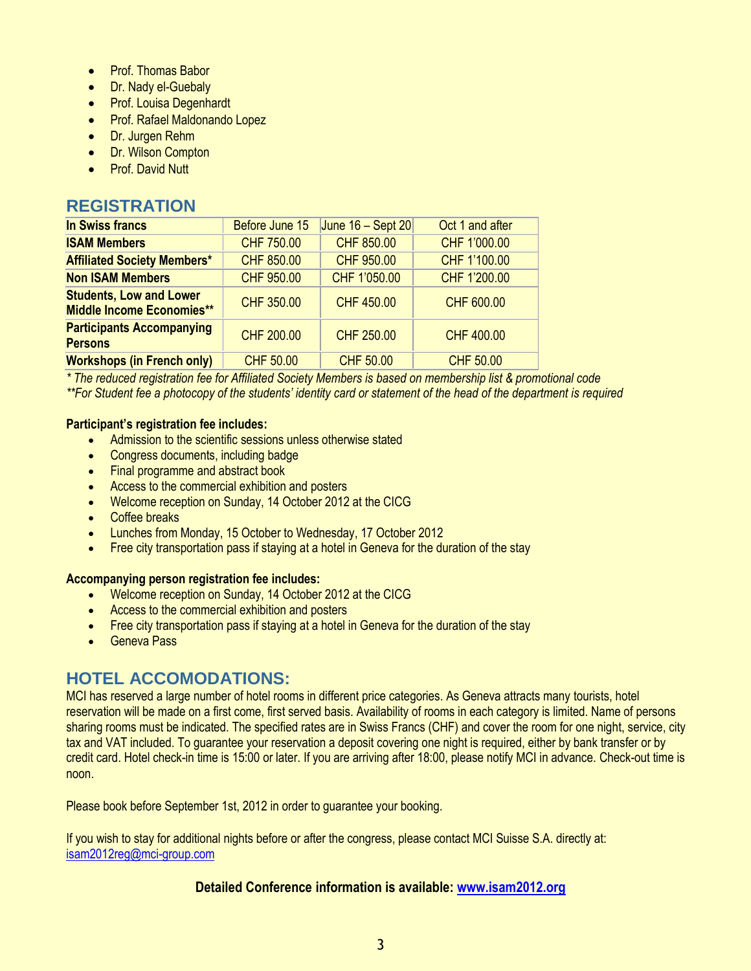- Prof. Thomas Babor
- Dr. Nady el-Guebaly
- Prof. Louisa Degenhardt
- Prof. Rafael Maldonando Lopez
- Dr. Jurgen Rehm
- **Dr. Wilson Compton**
- Prof. David Nutt

### **REGISTRATION**

| <b>In Swiss francs</b>                                             | Before June 15   | June $16 -$ Sept 20 | Oct 1 and after   |
|--------------------------------------------------------------------|------------------|---------------------|-------------------|
| <b>ISAM Members</b>                                                | CHF 750.00       | CHF 850.00          | CHF 1'000.00      |
| <b>Affiliated Society Members*</b>                                 | CHF 850.00       | CHF 950.00          | CHF 1'100.00      |
| <b>Non ISAM Members</b>                                            | CHF 950.00       | CHF 1'050.00        | CHF 1'200.00      |
| <b>Students, Low and Lower</b><br><b>Middle Income Economies**</b> | CHF 350.00       | <b>CHF 450.00</b>   | CHF 600.00        |
| <b>Participants Accompanying</b><br><b>Persons</b>                 | CHF 200.00       | CHF 250.00          | <b>CHF 400.00</b> |
| <b>Workshops (in French only)</b>                                  | <b>CHF 50.00</b> | <b>CHF 50.00</b>    | <b>CHF 50.00</b>  |

*\* The reduced registration fee for Affiliated Society Members is based on membership list & promotional code \*\*For Student fee a photocopy of the students' identity card or statement of the head of the department is required*

#### **Participant's registration fee includes:**

- Admission to the scientific sessions unless otherwise stated
- Congress documents, including badge
- Final programme and abstract book
- Access to the commercial exhibition and posters
- Welcome reception on Sunday, 14 October 2012 at the CICG
- Coffee breaks
- Lunches from Monday, 15 October to Wednesday, 17 October 2012
- Free city transportation pass if staying at a hotel in Geneva for the duration of the stay

#### **Accompanying person registration fee includes:**

- Welcome reception on Sunday, 14 October 2012 at the CICG
- Access to the commercial exhibition and posters
- Free city transportation pass if staying at a hotel in Geneva for the duration of the stay
- **Geneva Pass**

### **HOTEL ACCOMODATIONS:**

MCI has reserved a large number of hotel rooms in different price categories. As Geneva attracts many tourists, hotel reservation will be made on a first come, first served basis. Availability of rooms in each category is limited. Name of persons sharing rooms must be indicated. The specified rates are in Swiss Francs (CHF) and cover the room for one night, service, city tax and VAT included. To guarantee your reservation a deposit covering one night is required, either by bank transfer or by credit card. Hotel check-in time is 15:00 or later. If you are arriving after 18:00, please notify MCI in advance. Check-out time is noon.

Please book before September 1st, 2012 in order to guarantee your booking.

If you wish to stay for additional nights before or after the congress, please contact MCI Suisse S.A. directly at: [isam2012reg@mci-group.com](mailto:isam2012reg@mci-group.com)

#### **Detailed Conference information is available[: www.isam2012.org](http://www.isam2012.org/)**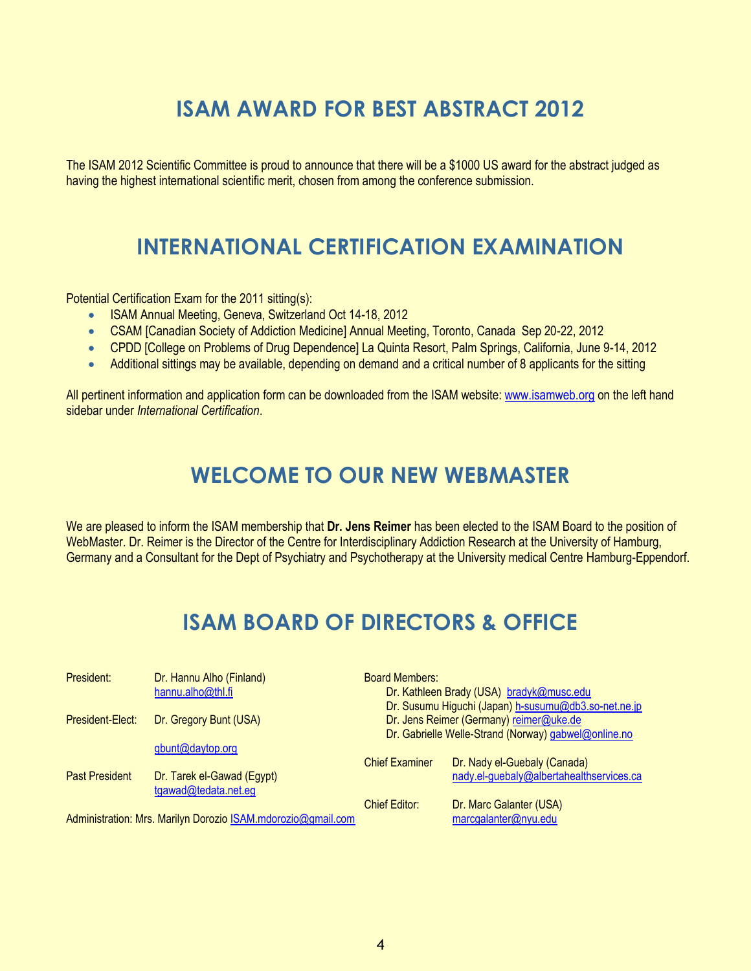# **ISAM AWARD FOR BEST ABSTRACT 2012**

The ISAM 2012 Scientific Committee is proud to announce that there will be a \$1000 US award for the abstract judged as having the highest international scientific merit, chosen from among the conference submission.

# **INTERNATIONAL CERTIFICATION EXAMINATION**

Potential Certification Exam for the 2011 sitting(s):

- ISAM Annual Meeting, Geneva, Switzerland Oct 14-18, 2012
- CSAM [Canadian Society of Addiction Medicine] Annual Meeting, Toronto, Canada Sep 20-22, 2012
- CPDD [College on Problems of Drug Dependence] La Quinta Resort, Palm Springs, California, June 9-14, 2012
- Additional sittings may be available, depending on demand and a critical number of 8 applicants for the sitting

All pertinent information and application form can be downloaded from the ISAM website[: www.isamweb.org](http://www.isamweb.org/) on the left hand sidebar under *International Certification*.

# **WELCOME TO OUR NEW WEBMASTER**

We are pleased to inform the ISAM membership that **Dr. Jens Reimer** has been elected to the ISAM Board to the position of WebMaster. Dr. Reimer is the Director of the Centre for Interdisciplinary Addiction Research at the University of Hamburg, Germany and a Consultant for the Dept of Psychiatry and Psychotherapy at the University medical Centre Hamburg-Eppendorf.

# **ISAM BOARD OF DIRECTORS & OFFICE**

| President:            | Dr. Hannu Alho (Finland)                                     | <b>Board Members:</b>                   |                                                      |  |
|-----------------------|--------------------------------------------------------------|-----------------------------------------|------------------------------------------------------|--|
|                       | hannu.alho@thl.fi                                            |                                         | Dr. Kathleen Brady (USA) bradyk@musc.edu             |  |
|                       |                                                              |                                         | Dr. Susumu Higuchi (Japan) h-susumu@db3.so-net.ne.jp |  |
| President-Elect:      | Dr. Gregory Bunt (USA)                                       | Dr. Jens Reimer (Germany) reimer@uke.de |                                                      |  |
|                       |                                                              |                                         | Dr. Gabrielle Welle-Strand (Norway) gabwel@online.no |  |
|                       | gbunt@daytop.org                                             |                                         |                                                      |  |
|                       |                                                              | <b>Chief Examiner</b>                   | Dr. Nady el-Guebaly (Canada)                         |  |
| <b>Past President</b> | Dr. Tarek el-Gawad (Egypt)                                   |                                         | nady.el-guebaly@albertahealthservices.ca             |  |
|                       | tgawad@tedata.net.eg                                         |                                         |                                                      |  |
|                       |                                                              | <b>Chief Editor:</b>                    | Dr. Marc Galanter (USA)                              |  |
|                       | Administration: Mrs. Marilyn Dorozio ISAM.mdorozio@gmail.com |                                         | marcgalanter@nyu.edu                                 |  |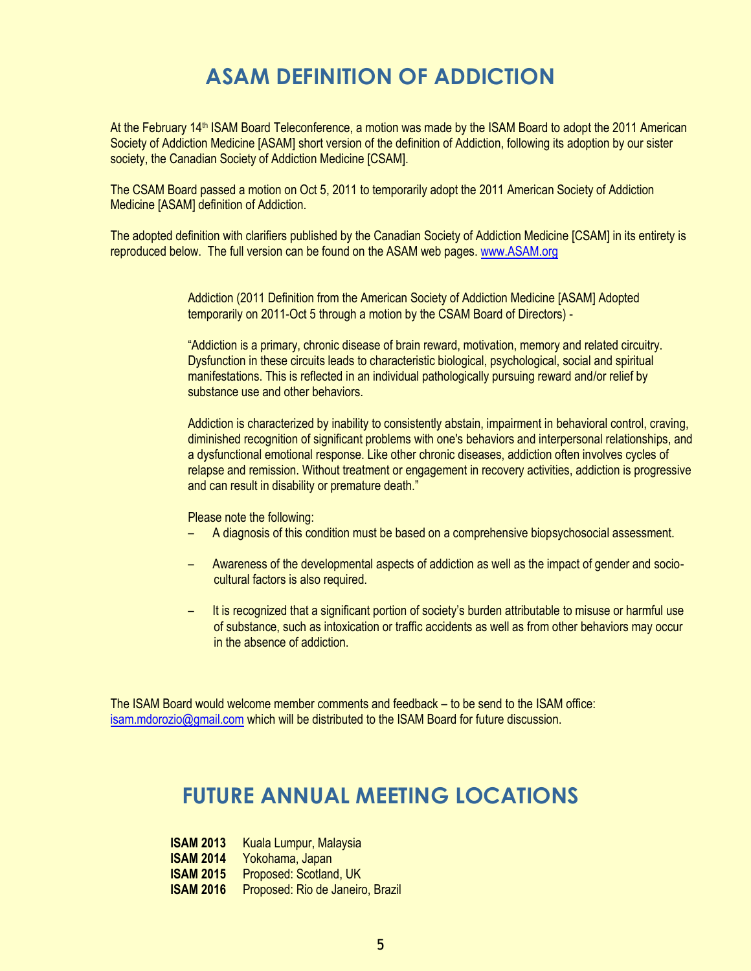# **ASAM DEFINITION OF ADDICTION**

At the February 14<sup>th</sup> ISAM Board Teleconference, a motion was made by the ISAM Board to adopt the 2011 American Society of Addiction Medicine [ASAM] short version of the definition of Addiction, following its adoption by our sister society, the Canadian Society of Addiction Medicine [CSAM].

The CSAM Board passed a motion on Oct 5, 2011 to temporarily adopt the 2011 American Society of Addiction Medicine [ASAM] definition of Addiction.

The adopted definition with clarifiers published by the Canadian Society of Addiction Medicine [CSAM] in its entirety is reproduced below. The full version can be found on the ASAM web pages. [www.ASAM.org](http://www.asam.org/)

> Addiction (2011 Definition from the American Society of Addiction Medicine [ASAM] Adopted temporarily on 2011-Oct 5 through a motion by the CSAM Board of Directors) -

"Addiction is a primary, chronic disease of brain reward, motivation, memory and related circuitry. Dysfunction in these circuits leads to characteristic biological, psychological, social and spiritual manifestations. This is reflected in an individual pathologically pursuing reward and/or relief by substance use and other behaviors.

Addiction is characterized by inability to consistently abstain, impairment in behavioral control, craving, diminished recognition of significant problems with one's behaviors and interpersonal relationships, and a dysfunctional emotional response. Like other chronic diseases, addiction often involves cycles of relapse and remission. Without treatment or engagement in recovery activities, addiction is progressive and can result in disability or premature death."

#### Please note the following:

- A diagnosis of this condition must be based on a comprehensive biopsychosocial assessment.
- Awareness of the developmental aspects of addiction as well as the impact of gender and sociocultural factors is also required.
- It is recognized that a significant portion of society's burden attributable to misuse or harmful use of substance, such as intoxication or traffic accidents as well as from other behaviors may occur in the absence of addiction.

The ISAM Board would welcome member comments and feedback – to be send to the ISAM office: [isam.mdorozio@gmail.com](mailto:isam.mdorozio@gmail.com) which will be distributed to the ISAM Board for future discussion.

# **FUTURE ANNUAL MEETING LOCATIONS**

| <b>ISAM 2013</b> | Kuala Lumpur, Malaysia           |
|------------------|----------------------------------|
| <b>ISAM 2014</b> | Yokohama, Japan                  |
| <b>ISAM 2015</b> | Proposed: Scotland, UK           |
| <b>ISAM 2016</b> | Proposed: Rio de Janeiro, Brazil |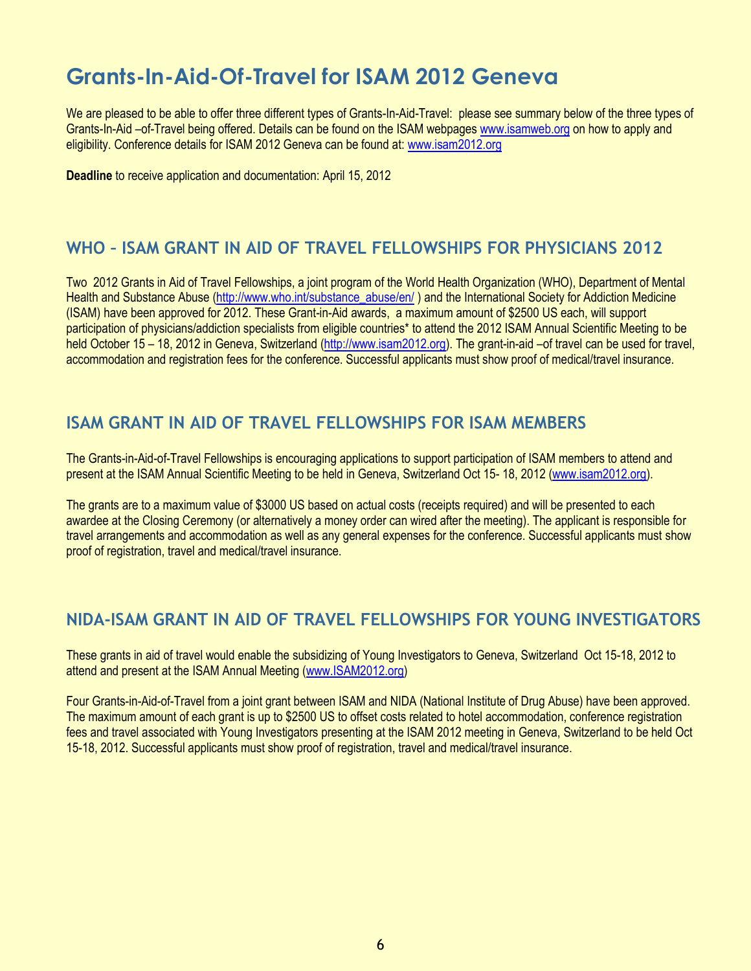# **Grants-In-Aid-Of-Travel for ISAM 2012 Geneva**

We are pleased to be able to offer three different types of Grants-In-Aid-Travel: please see summary below of the three types of Grants-In-Aid –of-Travel being offered. Details can be found on the ISAM webpage[s www.isamweb.org](http://www.isamweb.org/) on how to apply and eligibility. Conference details for ISAM 2012 Geneva can be found at: [www.isam2012.org](http://www.isam2012.org/)

**Deadline** to receive application and documentation: April 15, 2012

### **WHO – ISAM GRANT IN AID OF TRAVEL FELLOWSHIPS FOR PHYSICIANS 2012**

Two 2012 Grants in Aid of Travel Fellowships, a joint program of the World Health Organization (WHO), Department of Mental Health and Substance Abuse [\(http://www.who.int/substance\\_abuse/en/](http://www.who.int/substance_abuse/en/) ) and the International Society for Addiction Medicine (ISAM) have been approved for 2012. These Grant-in-Aid awards, a maximum amount of \$2500 US each, will support participation of physicians/addiction specialists from eligible countries\* to attend the 2012 ISAM Annual Scientific Meeting to be held October 15 – 18, 2012 in Geneva, Switzerland [\(http://www.isam2012.org\)](http://www.isam2012.org/). The grant-in-aid –of travel can be used for travel, accommodation and registration fees for the conference. Successful applicants must show proof of medical/travel insurance.

### **ISAM GRANT IN AID OF TRAVEL FELLOWSHIPS FOR ISAM MEMBERS**

The Grants-in-Aid-of-Travel Fellowships is encouraging applications to support participation of ISAM members to attend and present at the ISAM Annual Scientific Meeting to be held in Geneva, Switzerland Oct 15- 18, 2012 [\(www.isam2012.org\)](http://www.isam2012.org/).

The grants are to a maximum value of \$3000 US based on actual costs (receipts required) and will be presented to each awardee at the Closing Ceremony (or alternatively a money order can wired after the meeting). The applicant is responsible for travel arrangements and accommodation as well as any general expenses for the conference. Successful applicants must show proof of registration, travel and medical/travel insurance.

### **NIDA-ISAM GRANT IN AID OF TRAVEL FELLOWSHIPS FOR YOUNG INVESTIGATORS**

These grants in aid of travel would enable the subsidizing of Young Investigators to Geneva, Switzerland Oct 15-18, 2012 to attend and present at the ISAM Annual Meeting [\(www.ISAM2012.org\)](http://www.isam2012.org/)

Four Grants-in-Aid-of-Travel from a joint grant between ISAM and NIDA (National Institute of Drug Abuse) have been approved. The maximum amount of each grant is up to \$2500 US to offset costs related to hotel accommodation, conference registration fees and travel associated with Young Investigators presenting at the ISAM 2012 meeting in Geneva, Switzerland to be held Oct 15-18, 2012. Successful applicants must show proof of registration, travel and medical/travel insurance.